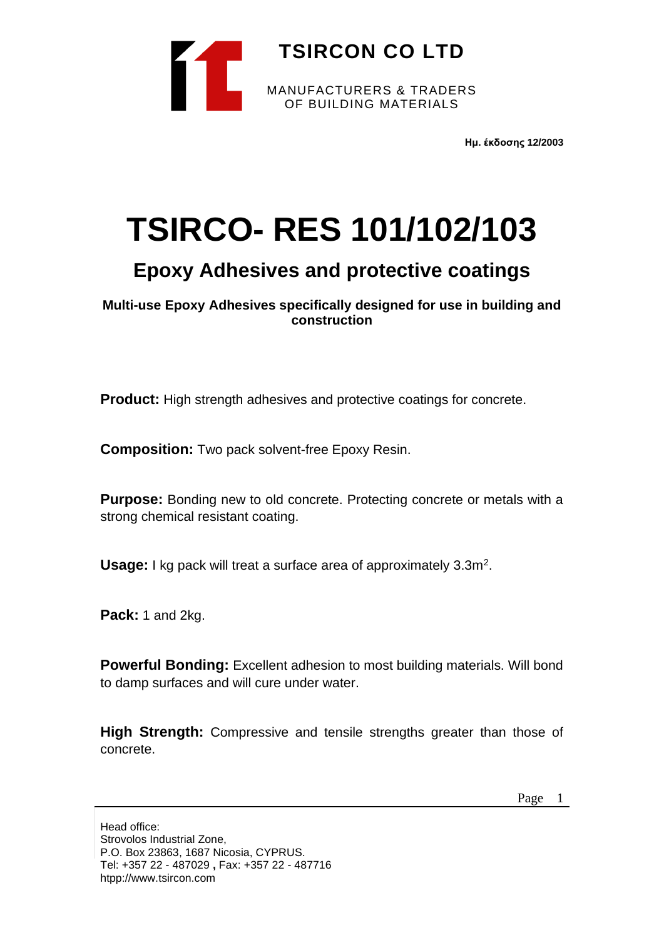

**Ημ. έκδοσης 12/2003**

# **TSIRCO- RES 101/102/103**

# **Epoxy Adhesives and protective coatings**

**Multi-use Epoxy Adhesives specifically designed for use in building and construction**

**Product:** High strength adhesives and protective coatings for concrete.

**Composition:** Two pack solvent-free Epoxy Resin.

**Purpose:** Bonding new to old concrete. Protecting concrete or metals with a strong chemical resistant coating.

Usage: I kg pack will treat a surface area of approximately 3.3m<sup>2</sup>.

**Pack:** 1 and 2kg.

**Powerful Bonding:** Excellent adhesion to most building materials. Will bond to damp surfaces and will cure under water.

**High Strength:** Compressive and tensile strengths greater than those of concrete.

Page 1

Head office: Strovolos Industrial Zone, P.O. Box 23863, 1687 Nicosia, CYPRUS. Tel: +357 22 - 487029 **,** Fax: +357 22 - 487716 htpp://www.tsircon.com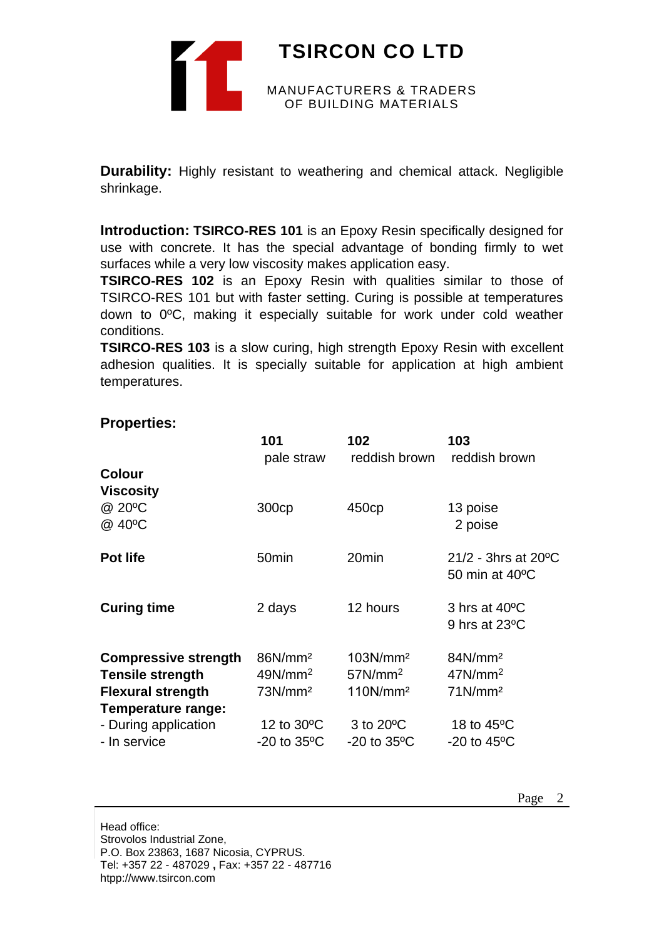**TSIRCON CO LTD** MANUFACTURERS & TRADERS OF BUILDING MATERIALS

**Durability:** Highly resistant to weathering and chemical attack. Negligible shrinkage.

**Introduction: TSIRCO-RES 101** is an Epoxy Resin specifically designed for use with concrete. It has the special advantage of bonding firmly to wet surfaces while a very low viscosity makes application easy.

**TSIRCO-RES 102** is an Epoxy Resin with qualities similar to those of TSIRCO-RES 101 but with faster setting. Curing is possible at temperatures down to 0ºC, making it especially suitable for work under cold weather conditions.

**TSIRCO-RES 103** is a slow curing, high strength Epoxy Resin with excellent adhesion qualities. It is specially suitable for application at high ambient temperatures.

|                                      | 101<br>pale straw       | 102<br>reddish brown    | 103<br>reddish brown                                 |
|--------------------------------------|-------------------------|-------------------------|------------------------------------------------------|
| <b>Colour</b><br>Viscosity<br>@ 20°C |                         |                         |                                                      |
| @ 40°C                               | 300cp                   | 450cp                   | 13 poise<br>2 poise                                  |
| <b>Pot life</b>                      | 50 <sub>min</sub>       | 20 <sub>min</sub>       | $21/2$ - 3hrs at 20 <sup>o</sup> C<br>50 min at 40°C |
| <b>Curing time</b>                   | 2 days                  | 12 hours                | 3 hrs at 40°C<br>9 hrs at $23^{\circ}$ C             |
| <b>Compressive strength</b>          | 86N/mm <sup>2</sup>     | 103N/mm <sup>2</sup>    | 84N/mm <sup>2</sup>                                  |
| <b>Tensile strength</b>              | $49N/mm^2$              | 57N/mm <sup>2</sup>     | 47N/mm <sup>2</sup>                                  |
| <b>Flexural strength</b>             | 73N/mm <sup>2</sup>     | 110N/mm <sup>2</sup>    | 71N/mm <sup>2</sup>                                  |
| <b>Temperature range:</b>            |                         |                         |                                                      |
| - During application                 | 12 to 30°C              | 3 to 20°C               | 18 to $45^{\circ}$ C                                 |
| - In service                         | $-20$ to $35^{\circ}$ C | $-20$ to $35^{\circ}$ C | $-20$ to $45^{\circ}$ C                              |

# **Properties:**

Head office: Strovolos Industrial Zone, P.O. Box 23863, 1687 Nicosia, CYPRUS. Tel: +357 22 - 487029 **,** Fax: +357 22 - 487716 htpp://www.tsircon.com

Page 2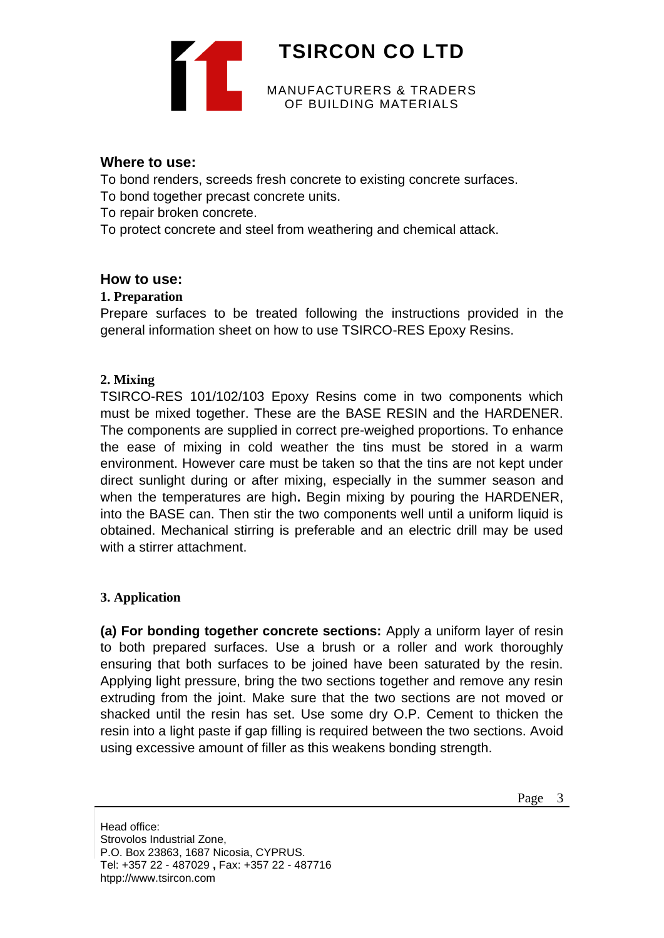

### **Where to use:**

To bond renders, screeds fresh concrete to existing concrete surfaces. To bond together precast concrete units.

To repair broken concrete.

To protect concrete and steel from weathering and chemical attack.

# **How to use:**

# **1. Preparation**

Prepare surfaces to be treated following the instructions provided in the general information sheet on how to use TSIRCO-RES Epoxy Resins.

# **2. Mixing**

TSIRCO-RES 101/102/103 Epoxy Resins come in two components which must be mixed together. These are the BASE RESIN and the HARDENER. The components are supplied in correct pre-weighed proportions. To enhance the ease of mixing in cold weather the tins must be stored in a warm environment. However care must be taken so that the tins are not kept under direct sunlight during or after mixing, especially in the summer season and when the temperatures are high**.** Begin mixing by pouring the HARDENER, into the BASE can. Then stir the two components well until a uniform liquid is obtained. Mechanical stirring is preferable and an electric drill may be used with a stirrer attachment.

#### **3. Application**

**(a) For bonding together concrete sections:** Apply a uniform layer of resin to both prepared surfaces. Use a brush or a roller and work thoroughly ensuring that both surfaces to be joined have been saturated by the resin. Applying light pressure, bring the two sections together and remove any resin extruding from the joint. Make sure that the two sections are not moved or shacked until the resin has set. Use some dry O.P. Cement to thicken the resin into a light paste if gap filling is required between the two sections. Avoid using excessive amount of filler as this weakens bonding strength.

Head office: Strovolos Industrial Zone, P.O. Box 23863, 1687 Nicosia, CYPRUS. Tel: +357 22 - 487029 **,** Fax: +357 22 - 487716 htpp://www.tsircon.com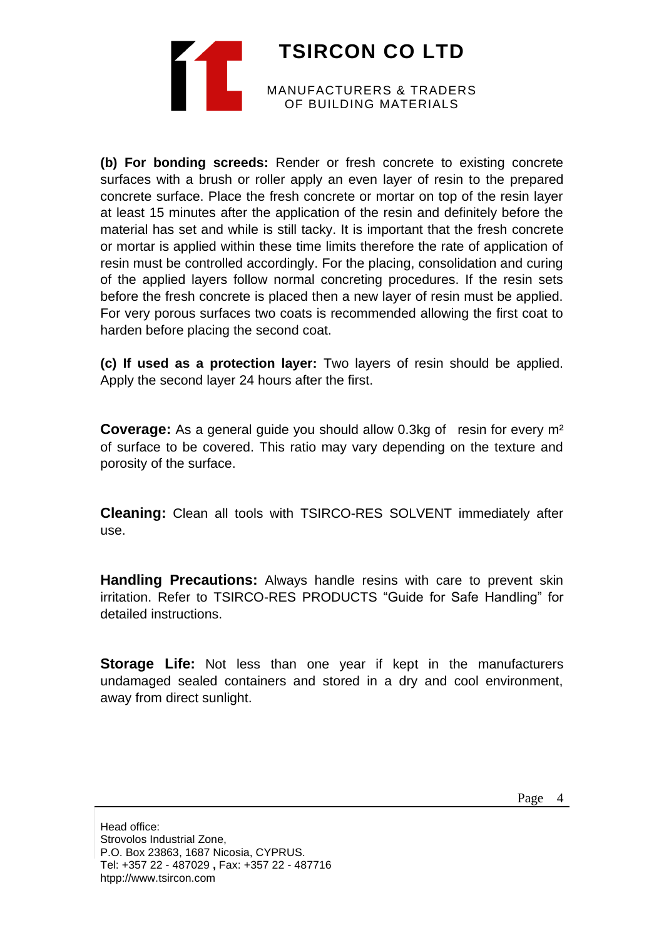**TSIRCON CO LTD** MANUFACTURERS & TRADERS OF BUILDING MATERIALS

**(b) For bonding screeds:** Render or fresh concrete to existing concrete surfaces with a brush or roller apply an even layer of resin to the prepared concrete surface. Place the fresh concrete or mortar on top of the resin layer at least 15 minutes after the application of the resin and definitely before the material has set and while is still tacky. It is important that the fresh concrete or mortar is applied within these time limits therefore the rate of application of resin must be controlled accordingly. For the placing, consolidation and curing of the applied layers follow normal concreting procedures. If the resin sets before the fresh concrete is placed then a new layer of resin must be applied. For very porous surfaces two coats is recommended allowing the first coat to harden before placing the second coat.

**(c) If used as a protection layer:** Two layers of resin should be applied. Apply the second layer 24 hours after the first.

**Coverage:** As a general guide you should allow 0.3kg of resin for every m² of surface to be covered. This ratio may vary depending on the texture and porosity of the surface.

**Cleaning:** Clean all tools with TSIRCO-RES SOLVENT immediately after use.

**Handling Precautions:** Always handle resins with care to prevent skin irritation. Refer to TSIRCO-RES PRODUCTS "Guide for Safe Handling" for detailed instructions.

**Storage Life:** Not less than one year if kept in the manufacturers undamaged sealed containers and stored in a dry and cool environment, away from direct sunlight.